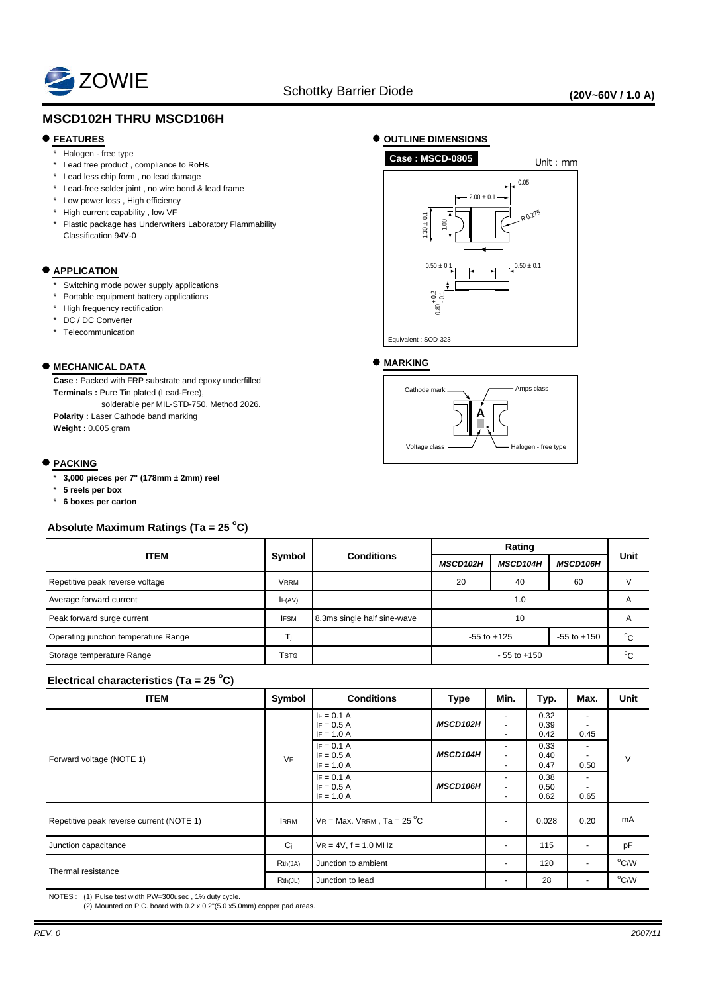

# **MSCD102H THRU MSCD106H**

### **FEATURES**

- Halogen free type
- \* Lead free product , compliance to RoHs
- \* Lead less chip form , no lead damage
- \* Lead-free solder joint , no wire bond & lead frame
- \* Low power loss , High efficiency
- \* High current capability , low VF
- \* Plastic package has Underwriters Laboratory Flammability Classification 94V-0

#### $\bullet$  **APPLICATION**

- Switching mode power supply applications
- \* Portable equipment battery applications
- \* High frequency rectification
- \* DC / DC Converter
- \* Telecommunication

### **MECHANICAL DATA**

**Case :** Packed with FRP substrate and epoxy underfilled **Terminals :** Pure Tin plated (Lead-Free), solderable per MIL-STD-750, Method 2026.

**Polarity :** Laser Cathode band marking **Weight :** 0.005 gram

#### **PACKING**

- \* **3,000 pieces per 7" (178mm ± 2mm) reel**
- \* **5 reels per box**
- \* **6 boxes per carton**

## **Absolute Maximum Ratings (Ta = 25 <sup>o</sup> C)**

| <b>ITEM</b>                          | Symbol      | <b>Conditions</b>           |                 |                 |                 |              |
|--------------------------------------|-------------|-----------------------------|-----------------|-----------------|-----------------|--------------|
|                                      |             |                             | MSCD102H        | <b>MSCD104H</b> | <b>MSCD106H</b> | Unit         |
| Repetitive peak reverse voltage      | <b>VRRM</b> |                             | 20<br>40        |                 | 60              |              |
| Average forward current              | IF(AV)      |                             |                 | A               |                 |              |
| Peak forward surge current           | <b>IFSM</b> | 8.3ms single half sine-wave |                 | $\mathsf{A}$    |                 |              |
| Operating junction temperature Range | Τì          |                             | $-55$ to $+125$ |                 | $-55$ to $+150$ | $^{\circ}$ C |
| Storage temperature Range            | <b>TSTG</b> |                             | $-55$ to $+150$ |                 |                 | $^{\circ}$ C |

# **Electrical characteristics (Ta = 25 <sup>o</sup> C)**

| <b>ITEM</b>                              | Symbol      | <b>Conditions</b>                            | <b>Type</b>     | Min.                          | Typ.                 | Max.                     | Unit           |
|------------------------------------------|-------------|----------------------------------------------|-----------------|-------------------------------|----------------------|--------------------------|----------------|
| Forward voltage (NOTE 1)                 | VF          | $IF = 0.1 A$<br>$IF = 0.5 A$<br>$IF = 1.0 A$ | <b>MSCD102H</b> | ٠<br>$\sim$<br>$\blacksquare$ | 0.32<br>0.39<br>0.42 | $\overline{a}$<br>0.45   | V              |
|                                          |             | $IF = 0.1 A$<br>$IF = 0.5 A$<br>$IF = 1.0 A$ | <b>MSCD104H</b> | ٠<br>$\sim$                   | 0.33<br>0.40<br>0.47 | 0.50                     |                |
|                                          |             | $IF = 0.1 A$<br>$IF = 0.5 A$<br>$IF = 1.0 A$ | <b>MSCD106H</b> | $\blacksquare$<br>۰           | 0.38<br>0.50<br>0.62 | $\blacksquare$<br>0.65   |                |
| Repetitive peak reverse current (NOTE 1) | <b>IRRM</b> | $VR = Max. VRRM$ , $Ta = 25 °C$              |                 |                               | 0.028                | 0.20                     | mA             |
| Junction capacitance                     | Ci          | $VR = 4V, f = 1.0 MHz$                       |                 |                               | 115                  | $\overline{a}$           | pF             |
| Thermal resistance                       | Rth(JA)     | Junction to ambient                          |                 | ٠                             | 120                  | $\blacksquare$           | $^{\circ}$ C/W |
|                                          | Rth(JL)     | Junction to lead                             |                 | -                             | 28                   | $\overline{\phantom{a}}$ | $^{\circ}$ C/W |

NOTES : (1) Pulse test width PW=300usec , 1% duty cycle.

(2) Mounted on P.C. board with 0.2 x 0.2"(5.0 x5.0mm) copper pad areas.

**OUTLINE DIMENSIONS**



### **MARKING**